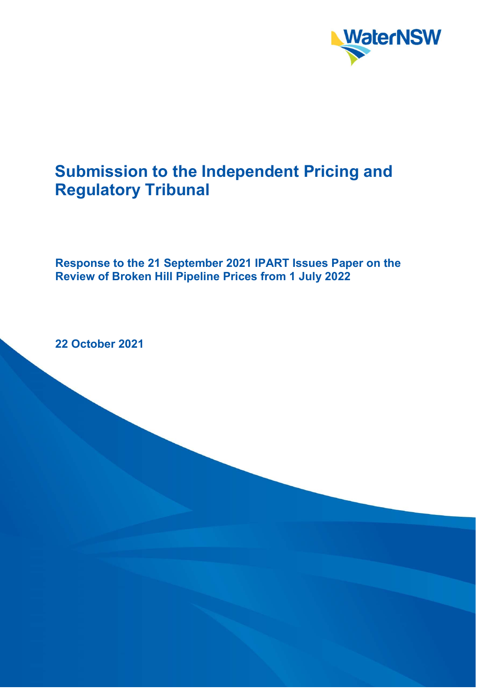

# Submission to the Independent Pricing and Regulatory Tribunal

Response to the 21 September 2021 IPART Issues Paper on the Review of Broken Hill Pipeline Prices from 1 July 2022

22 October 2021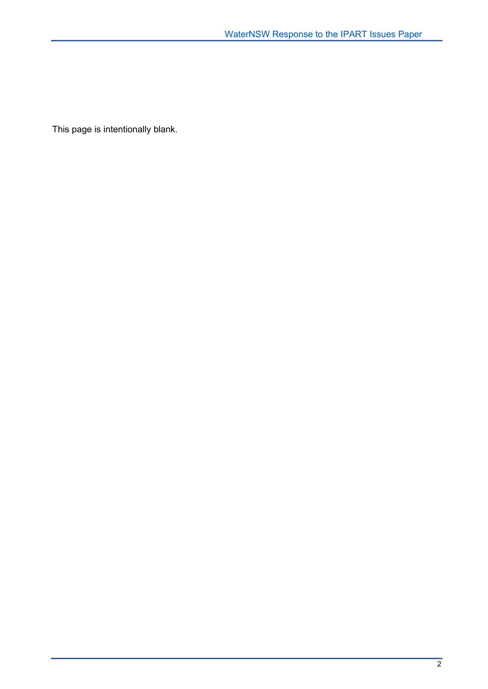This page is intentionally blank.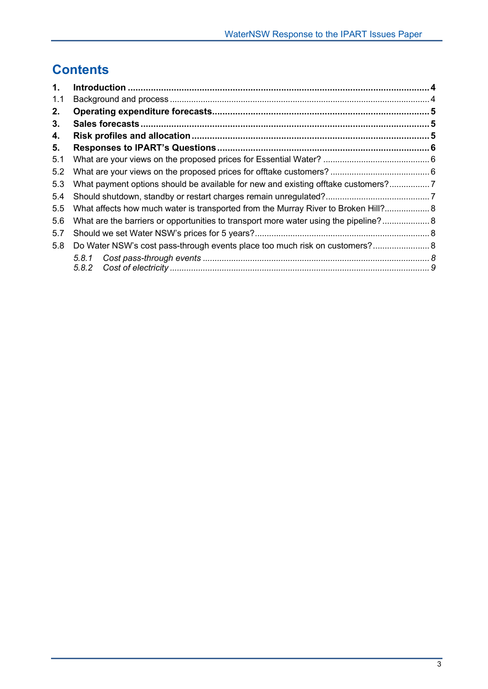# **Contents**

| 1.  |                                                                                      |  |
|-----|--------------------------------------------------------------------------------------|--|
| 1.1 |                                                                                      |  |
| 2.  |                                                                                      |  |
| 3.  |                                                                                      |  |
| 4.  |                                                                                      |  |
| 5.  |                                                                                      |  |
| 5.1 |                                                                                      |  |
| 5.2 |                                                                                      |  |
| 5.3 | What payment options should be available for new and existing offtake customers?7    |  |
| 5.4 |                                                                                      |  |
| 5.5 | What affects how much water is transported from the Murray River to Broken Hill? 8   |  |
| 5.6 | What are the barriers or opportunities to transport more water using the pipeline? 8 |  |
| 5.7 |                                                                                      |  |
| 5.8 | Do Water NSW's cost pass-through events place too much risk on customers? 8          |  |
|     | 5.8.1                                                                                |  |
|     |                                                                                      |  |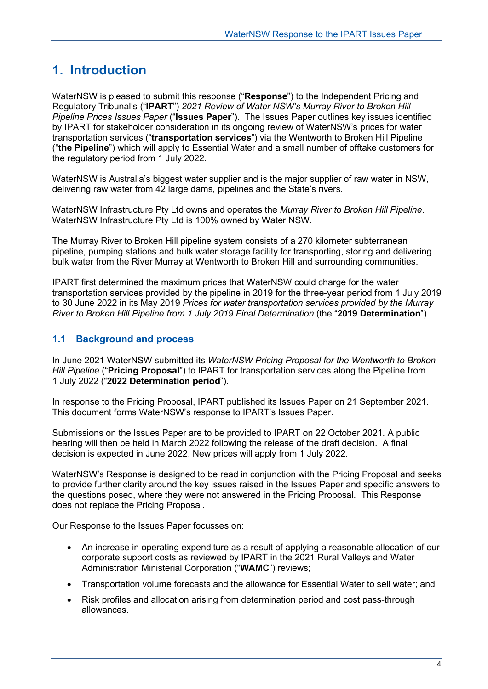# 1. Introduction

WaterNSW is pleased to submit this response ("Response") to the Independent Pricing and Regulatory Tribunal's ("IPART") 2021 Review of Water NSW's Murray River to Broken Hill Pipeline Prices Issues Paper ("Issues Paper"). The Issues Paper outlines key issues identified by IPART for stakeholder consideration in its ongoing review of WaterNSW's prices for water transportation services ("transportation services") via the Wentworth to Broken Hill Pipeline ("the Pipeline") which will apply to Essential Water and a small number of offtake customers for the regulatory period from 1 July 2022.

WaterNSW is Australia's biggest water supplier and is the major supplier of raw water in NSW, delivering raw water from 42 large dams, pipelines and the State's rivers.

WaterNSW Infrastructure Pty Ltd owns and operates the Murray River to Broken Hill Pipeline. WaterNSW Infrastructure Pty Ltd is 100% owned by Water NSW.

The Murray River to Broken Hill pipeline system consists of a 270 kilometer subterranean pipeline, pumping stations and bulk water storage facility for transporting, storing and delivering bulk water from the River Murray at Wentworth to Broken Hill and surrounding communities.

IPART first determined the maximum prices that WaterNSW could charge for the water transportation services provided by the pipeline in 2019 for the three-year period from 1 July 2019 to 30 June 2022 in its May 2019 Prices for water transportation services provided by the Murray River to Broken Hill Pipeline from 1 July 2019 Final Determination (the "2019 Determination").

### 1.1 Background and process

In June 2021 WaterNSW submitted its WaterNSW Pricing Proposal for the Wentworth to Broken Hill Pipeline ("Pricing Proposal") to IPART for transportation services along the Pipeline from 1 July 2022 ("2022 Determination period").

In response to the Pricing Proposal, IPART published its Issues Paper on 21 September 2021. This document forms WaterNSW's response to IPART's Issues Paper.

Submissions on the Issues Paper are to be provided to IPART on 22 October 2021. A public hearing will then be held in March 2022 following the release of the draft decision. A final decision is expected in June 2022. New prices will apply from 1 July 2022.

WaterNSW's Response is designed to be read in conjunction with the Pricing Proposal and seeks to provide further clarity around the key issues raised in the Issues Paper and specific answers to the questions posed, where they were not answered in the Pricing Proposal. This Response does not replace the Pricing Proposal.

Our Response to the Issues Paper focusses on:

- An increase in operating expenditure as a result of applying a reasonable allocation of our corporate support costs as reviewed by IPART in the 2021 Rural Valleys and Water Administration Ministerial Corporation ("WAMC") reviews;
- Transportation volume forecasts and the allowance for Essential Water to sell water; and
- Risk profiles and allocation arising from determination period and cost pass-through allowances.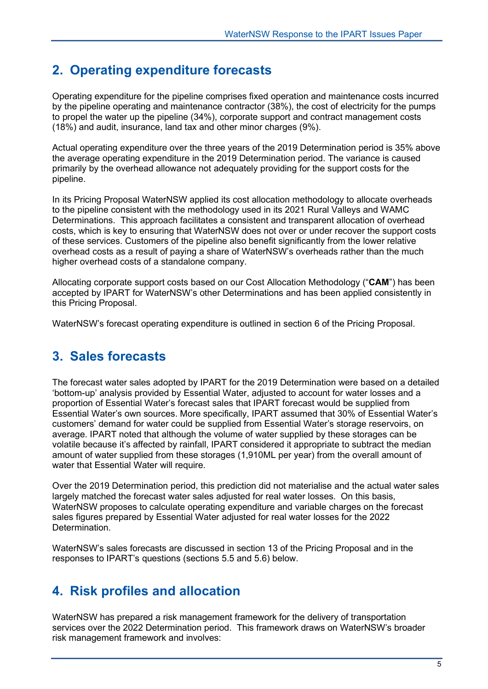### 2. Operating expenditure forecasts

Operating expenditure for the pipeline comprises fixed operation and maintenance costs incurred by the pipeline operating and maintenance contractor (38%), the cost of electricity for the pumps to propel the water up the pipeline (34%), corporate support and contract management costs (18%) and audit, insurance, land tax and other minor charges (9%).

Actual operating expenditure over the three years of the 2019 Determination period is 35% above the average operating expenditure in the 2019 Determination period. The variance is caused primarily by the overhead allowance not adequately providing for the support costs for the pipeline.

In its Pricing Proposal WaterNSW applied its cost allocation methodology to allocate overheads to the pipeline consistent with the methodology used in its 2021 Rural Valleys and WAMC Determinations. This approach facilitates a consistent and transparent allocation of overhead costs, which is key to ensuring that WaterNSW does not over or under recover the support costs of these services. Customers of the pipeline also benefit significantly from the lower relative overhead costs as a result of paying a share of WaterNSW's overheads rather than the much higher overhead costs of a standalone company.

Allocating corporate support costs based on our Cost Allocation Methodology ("CAM") has been accepted by IPART for WaterNSW's other Determinations and has been applied consistently in this Pricing Proposal.

WaterNSW's forecast operating expenditure is outlined in section 6 of the Pricing Proposal.

# 3. Sales forecasts

The forecast water sales adopted by IPART for the 2019 Determination were based on a detailed 'bottom-up' analysis provided by Essential Water, adjusted to account for water losses and a proportion of Essential Water's forecast sales that IPART forecast would be supplied from Essential Water's own sources. More specifically, IPART assumed that 30% of Essential Water's customers' demand for water could be supplied from Essential Water's storage reservoirs, on average. IPART noted that although the volume of water supplied by these storages can be volatile because it's affected by rainfall, IPART considered it appropriate to subtract the median amount of water supplied from these storages (1,910ML per year) from the overall amount of water that Essential Water will require.

Over the 2019 Determination period, this prediction did not materialise and the actual water sales largely matched the forecast water sales adjusted for real water losses. On this basis, WaterNSW proposes to calculate operating expenditure and variable charges on the forecast sales figures prepared by Essential Water adjusted for real water losses for the 2022 Determination.

WaterNSW's sales forecasts are discussed in section 13 of the Pricing Proposal and in the responses to IPART's questions (sections 5.5 and 5.6) below.

# 4. Risk profiles and allocation

WaterNSW has prepared a risk management framework for the delivery of transportation services over the 2022 Determination period. This framework draws on WaterNSW's broader risk management framework and involves: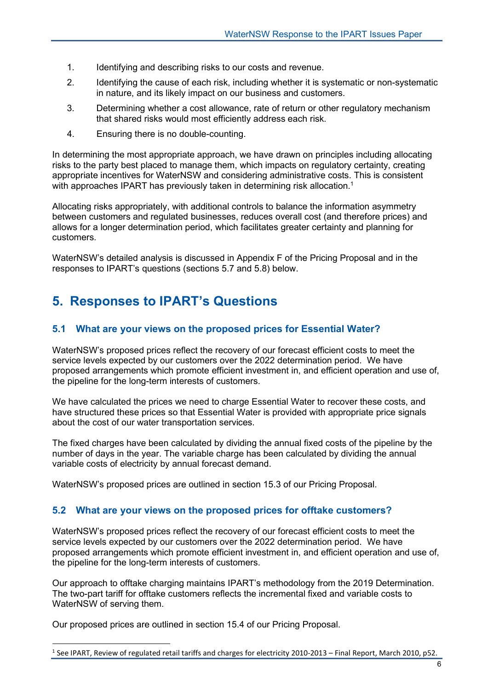- 1. Identifying and describing risks to our costs and revenue.
- 2. Identifying the cause of each risk, including whether it is systematic or non-systematic in nature, and its likely impact on our business and customers.
- 3. Determining whether a cost allowance, rate of return or other regulatory mechanism that shared risks would most efficiently address each risk.
- 4. Ensuring there is no double-counting.

In determining the most appropriate approach, we have drawn on principles including allocating risks to the party best placed to manage them, which impacts on regulatory certainty, creating appropriate incentives for WaterNSW and considering administrative costs. This is consistent with approaches IPART has previously taken in determining risk allocation.<sup>1</sup>

Allocating risks appropriately, with additional controls to balance the information asymmetry between customers and regulated businesses, reduces overall cost (and therefore prices) and allows for a longer determination period, which facilitates greater certainty and planning for customers.

WaterNSW's detailed analysis is discussed in Appendix F of the Pricing Proposal and in the responses to IPART's questions (sections 5.7 and 5.8) below.

# 5. Responses to IPART's Questions

### 5.1 What are your views on the proposed prices for Essential Water?

WaterNSW's proposed prices reflect the recovery of our forecast efficient costs to meet the service levels expected by our customers over the 2022 determination period. We have proposed arrangements which promote efficient investment in, and efficient operation and use of, the pipeline for the long-term interests of customers.

We have calculated the prices we need to charge Essential Water to recover these costs, and have structured these prices so that Essential Water is provided with appropriate price signals about the cost of our water transportation services.

The fixed charges have been calculated by dividing the annual fixed costs of the pipeline by the number of days in the year. The variable charge has been calculated by dividing the annual variable costs of electricity by annual forecast demand.

WaterNSW's proposed prices are outlined in section 15.3 of our Pricing Proposal.

#### 5.2 What are your views on the proposed prices for offtake customers?

WaterNSW's proposed prices reflect the recovery of our forecast efficient costs to meet the service levels expected by our customers over the 2022 determination period. We have proposed arrangements which promote efficient investment in, and efficient operation and use of, the pipeline for the long-term interests of customers.

Our approach to offtake charging maintains IPART's methodology from the 2019 Determination. The two-part tariff for offtake customers reflects the incremental fixed and variable costs to WaterNSW of serving them.

Our proposed prices are outlined in section 15.4 of our Pricing Proposal.

<sup>&</sup>lt;sup>1</sup> See IPART, Review of regulated retail tariffs and charges for electricity 2010-2013 – Final Report, March 2010, p52.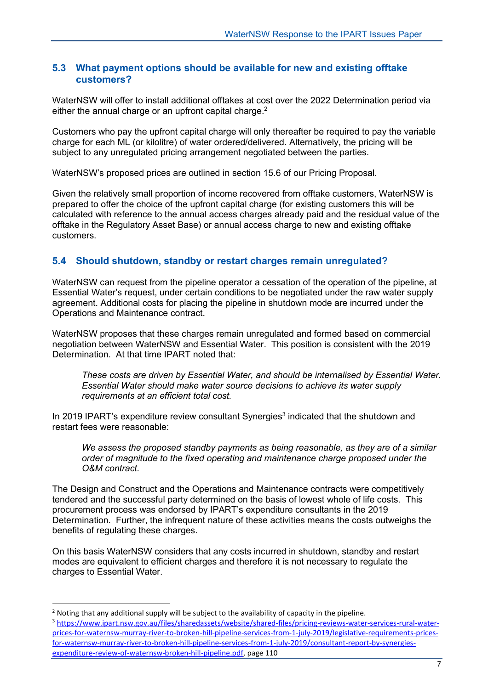#### 5.3 What payment options should be available for new and existing offtake customers?

WaterNSW will offer to install additional offtakes at cost over the 2022 Determination period via either the annual charge or an upfront capital charge.<sup>2</sup>

Customers who pay the upfront capital charge will only thereafter be required to pay the variable charge for each ML (or kilolitre) of water ordered/delivered. Alternatively, the pricing will be subject to any unregulated pricing arrangement negotiated between the parties.

WaterNSW's proposed prices are outlined in section 15.6 of our Pricing Proposal.

Given the relatively small proportion of income recovered from offtake customers, WaterNSW is prepared to offer the choice of the upfront capital charge (for existing customers this will be calculated with reference to the annual access charges already paid and the residual value of the offtake in the Regulatory Asset Base) or annual access charge to new and existing offtake customers.

### 5.4 Should shutdown, standby or restart charges remain unregulated?

WaterNSW can request from the pipeline operator a cessation of the operation of the pipeline, at Essential Water's request, under certain conditions to be negotiated under the raw water supply agreement. Additional costs for placing the pipeline in shutdown mode are incurred under the Operations and Maintenance contract.

WaterNSW proposes that these charges remain unregulated and formed based on commercial negotiation between WaterNSW and Essential Water. This position is consistent with the 2019 Determination. At that time IPART noted that:

These costs are driven by Essential Water, and should be internalised by Essential Water. Essential Water should make water source decisions to achieve its water supply requirements at an efficient total cost.

In 2019 IPART's expenditure review consultant Synergies<sup>3</sup> indicated that the shutdown and restart fees were reasonable:

We assess the proposed standby payments as being reasonable, as they are of a similar order of magnitude to the fixed operating and maintenance charge proposed under the O&M contract.

The Design and Construct and the Operations and Maintenance contracts were competitively tendered and the successful party determined on the basis of lowest whole of life costs. This procurement process was endorsed by IPART's expenditure consultants in the 2019 Determination. Further, the infrequent nature of these activities means the costs outweighs the benefits of regulating these charges.

On this basis WaterNSW considers that any costs incurred in shutdown, standby and restart modes are equivalent to efficient charges and therefore it is not necessary to regulate the charges to Essential Water.

<sup>&</sup>lt;sup>2</sup> Noting that any additional supply will be subject to the availability of capacity in the pipeline.

<sup>3</sup> https://www.ipart.nsw.gov.au/files/sharedassets/website/shared-files/pricing-reviews-water-services-rural-waterprices-for-waternsw-murray-river-to-broken-hill-pipeline-services-from-1-july-2019/legislative-requirements-pricesfor-waternsw-murray-river-to-broken-hill-pipeline-services-from-1-july-2019/consultant-report-by-synergiesexpenditure-review-of-waternsw-broken-hill-pipeline.pdf, page 110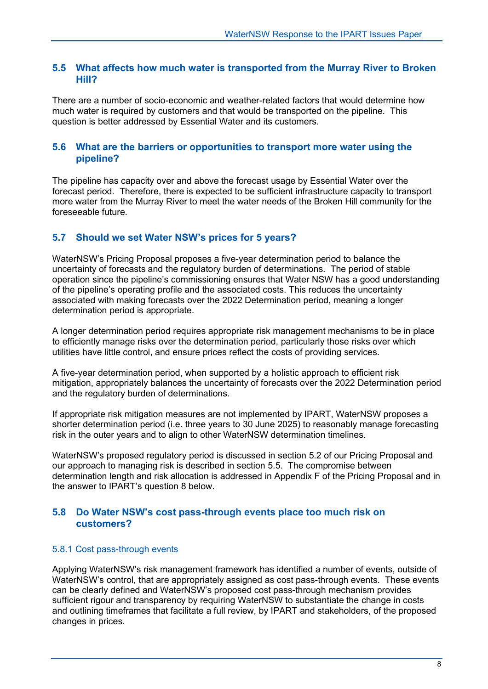#### 5.5 What affects how much water is transported from the Murray River to Broken Hill?

There are a number of socio-economic and weather-related factors that would determine how much water is required by customers and that would be transported on the pipeline. This question is better addressed by Essential Water and its customers.

#### 5.6 What are the barriers or opportunities to transport more water using the pipeline?

The pipeline has capacity over and above the forecast usage by Essential Water over the forecast period. Therefore, there is expected to be sufficient infrastructure capacity to transport more water from the Murray River to meet the water needs of the Broken Hill community for the foreseeable future.

### 5.7 Should we set Water NSW's prices for 5 years?

WaterNSW's Pricing Proposal proposes a five-year determination period to balance the uncertainty of forecasts and the regulatory burden of determinations. The period of stable operation since the pipeline's commissioning ensures that Water NSW has a good understanding of the pipeline's operating profile and the associated costs. This reduces the uncertainty associated with making forecasts over the 2022 Determination period, meaning a longer determination period is appropriate.

A longer determination period requires appropriate risk management mechanisms to be in place to efficiently manage risks over the determination period, particularly those risks over which utilities have little control, and ensure prices reflect the costs of providing services.

A five-year determination period, when supported by a holistic approach to efficient risk mitigation, appropriately balances the uncertainty of forecasts over the 2022 Determination period and the regulatory burden of determinations.

If appropriate risk mitigation measures are not implemented by IPART, WaterNSW proposes a shorter determination period (i.e. three years to 30 June 2025) to reasonably manage forecasting risk in the outer years and to align to other WaterNSW determination timelines.

WaterNSW's proposed regulatory period is discussed in section 5.2 of our Pricing Proposal and our approach to managing risk is described in section 5.5. The compromise between determination length and risk allocation is addressed in Appendix F of the Pricing Proposal and in the answer to IPART's question 8 below.

#### 5.8 Do Water NSW's cost pass-through events place too much risk on customers?

#### 5.8.1 Cost pass-through events

Applying WaterNSW's risk management framework has identified a number of events, outside of WaterNSW's control, that are appropriately assigned as cost pass-through events. These events can be clearly defined and WaterNSW's proposed cost pass-through mechanism provides sufficient rigour and transparency by requiring WaterNSW to substantiate the change in costs and outlining timeframes that facilitate a full review, by IPART and stakeholders, of the proposed changes in prices.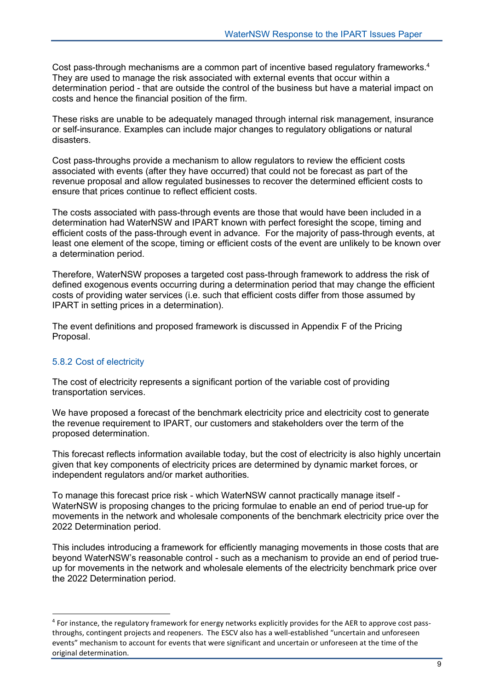Cost pass-through mechanisms are a common part of incentive based regulatory frameworks.<sup>4</sup> They are used to manage the risk associated with external events that occur within a determination period - that are outside the control of the business but have a material impact on costs and hence the financial position of the firm.

These risks are unable to be adequately managed through internal risk management, insurance or self-insurance. Examples can include major changes to regulatory obligations or natural disasters.

Cost pass-throughs provide a mechanism to allow regulators to review the efficient costs associated with events (after they have occurred) that could not be forecast as part of the revenue proposal and allow regulated businesses to recover the determined efficient costs to ensure that prices continue to reflect efficient costs.

The costs associated with pass-through events are those that would have been included in a determination had WaterNSW and IPART known with perfect foresight the scope, timing and efficient costs of the pass-through event in advance. For the majority of pass-through events, at least one element of the scope, timing or efficient costs of the event are unlikely to be known over a determination period.

Therefore, WaterNSW proposes a targeted cost pass-through framework to address the risk of defined exogenous events occurring during a determination period that may change the efficient costs of providing water services (i.e. such that efficient costs differ from those assumed by IPART in setting prices in a determination).

The event definitions and proposed framework is discussed in Appendix F of the Pricing Proposal.

#### 5.8.2 Cost of electricity

The cost of electricity represents a significant portion of the variable cost of providing transportation services.

We have proposed a forecast of the benchmark electricity price and electricity cost to generate the revenue requirement to IPART, our customers and stakeholders over the term of the proposed determination.

This forecast reflects information available today, but the cost of electricity is also highly uncertain given that key components of electricity prices are determined by dynamic market forces, or independent regulators and/or market authorities.

To manage this forecast price risk - which WaterNSW cannot practically manage itself - WaterNSW is proposing changes to the pricing formulae to enable an end of period true-up for movements in the network and wholesale components of the benchmark electricity price over the 2022 Determination period.

This includes introducing a framework for efficiently managing movements in those costs that are beyond WaterNSW's reasonable control - such as a mechanism to provide an end of period trueup for movements in the network and wholesale elements of the electricity benchmark price over the 2022 Determination period.

<sup>&</sup>lt;sup>4</sup> For instance, the regulatory framework for energy networks explicitly provides for the AER to approve cost passthroughs, contingent projects and reopeners. The ESCV also has a well-established "uncertain and unforeseen events" mechanism to account for events that were significant and uncertain or unforeseen at the time of the original determination.